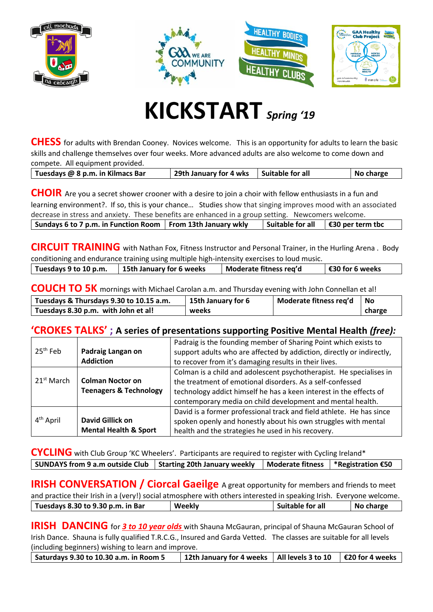







## **KICKSTART** *Spring '<sup>19</sup>*

**CHESS** for adults with Brendan Cooney. Novices welcome. This is an opportunity for adults to learn the basic skills and challenge themselves over four weeks. More advanced adults are also welcome to come down and compete. All equipment provided.

| Tuesdays @ 8 p.m. in Kilmacs Bar | 29th January for 4 wks   Suitable for all | No charge |
|----------------------------------|-------------------------------------------|-----------|
|                                  |                                           |           |

**CHOIR** Are you a secret shower crooner with a desire to join a choir with fellow enthusiasts in a fun and learning environment?. If so, this is your chance… Studies show that singing improves mood with an associated decrease in stress and anxiety. These benefits are enhanced in a group setting. Newcomers welcome. **Sundays 6 to 7 p.m. in Function Room From 13th January wkly Suitable for all €30 per term tbc**

**CIRCUIT TRAINING** with Nathan Fox, Fitness Instructor and Personal Trainer, in the Hurling Arena . Body conditioning and endurance training using multiple high-intensity exercises to loud music.

| conditioning and chadrance training abing mattiple inglimitensity excretes to load mable. |                          |                        |                         |  |
|-------------------------------------------------------------------------------------------|--------------------------|------------------------|-------------------------|--|
| Tuesdays 9 to 10 p.m.                                                                     | 15th January for 6 weeks | Moderate fitness req'd | $\vert$ €30 for 6 weeks |  |
|                                                                                           |                          |                        |                         |  |

**COUCH TO 5K** mornings with Michael Carolan a.m. and Thursday evening with John Connellan et al!

| Tuesdays & Thursdays 9.30 to 10.15 a.m. | 15th January for 6 | Moderate fitness req'd | l No   |
|-----------------------------------------|--------------------|------------------------|--------|
| Tuesdays 8.30 p.m. with John et al!     | weeks              |                        | charge |

## **'CROKES TALKS' ; A series of presentations supporting Positive Mental Health** *(free):*

| $25th$ Feb             | Padraig Langan on<br><b>Addiction</b>                        | Padraig is the founding member of Sharing Point which exists to<br>support adults who are affected by addiction, directly or indirectly,<br>to recover from it's damaging results in their lives.                                                                    |
|------------------------|--------------------------------------------------------------|----------------------------------------------------------------------------------------------------------------------------------------------------------------------------------------------------------------------------------------------------------------------|
| 21 <sup>st</sup> March | <b>Colman Noctor on</b><br><b>Teenagers &amp; Technology</b> | Colman is a child and adolescent psychotherapist. He specialises in<br>the treatment of emotional disorders. As a self-confessed<br>technology addict himself he has a keen interest in the effects of<br>contemporary media on child development and mental health. |
| 4 <sup>th</sup> April  | <b>David Gillick on</b><br><b>Mental Health &amp; Sport</b>  | David is a former professional track and field athlete. He has since<br>spoken openly and honestly about his own struggles with mental<br>health and the strategies he used in his recovery.                                                                         |

**CYCLING** with Club Group 'KC Wheelers'. Participants are required to register with Cycling Ireland\* **SUNDAYS** from 9 a.m outside Club | Starting 20th January weekly | Moderate fitness | \*Registration €50

**IRISH CONVERSATION / Ciorcal Gaeilge** A great opportunity for members and friends to meet and practice their Irish in a (very!) social atmosphere with others interested in speaking Irish. Everyone welcome. **Tuesdays 8.30 to 9.30 p.m. in Bar Weekly Suitable for all No charge**

**IRISH DANCING** for 3 to 10 year olds with Shauna McGauran, principal of Shauna McGauran School of Irish Dance. Shauna is fully qualified T.R.C.G., Insured and Garda Vetted. The classes are suitable for all levels (including beginners) wishing to learn and improve.

**Saturdays 9.30 to 10.30 a.m. in Room 5 12th January for 4 weeks All levels 3 to 10 €20 for 4 weeks**